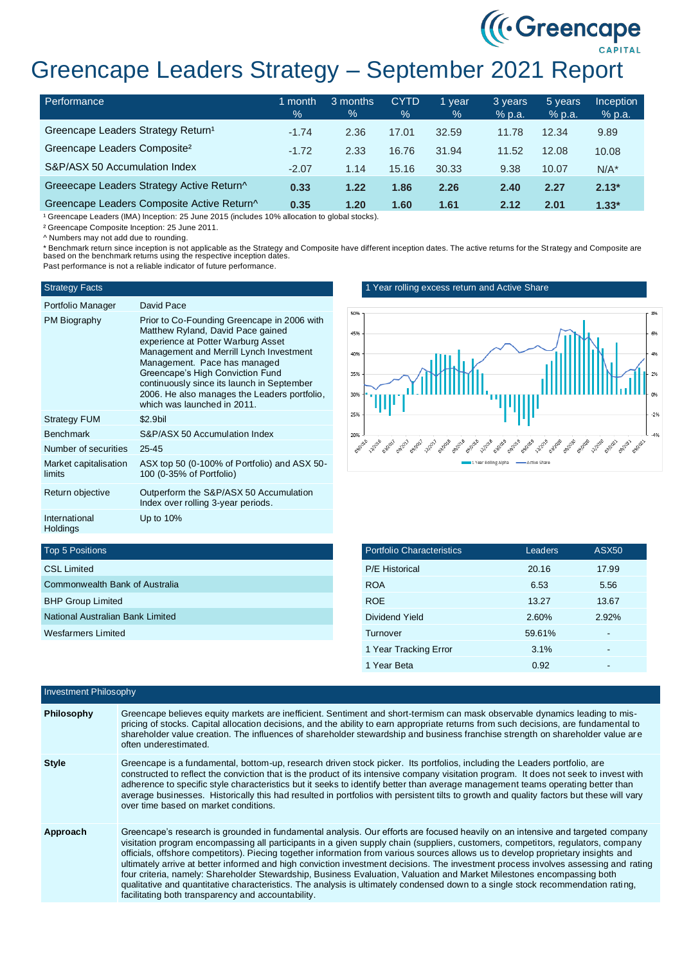# Greencape Leaders Strategy – September 2021 Report

| Performance                                    | 1 month<br>$\frac{9}{6}$ | 3 months<br>$\%$ | <b>CYTD</b><br>$\%$ | 1 vear<br>$\%$ | 3 years<br>% p.a. | 5 years<br>$%$ p.a. | <b>Inception</b><br>% p.a. |
|------------------------------------------------|--------------------------|------------------|---------------------|----------------|-------------------|---------------------|----------------------------|
| Greencape Leaders Strategy Return <sup>1</sup> | $-1.74$                  | 2.36             | 17.01               | 32.59          | 11.78             | 12.34               | 9.89                       |
| Greencape Leaders Composite <sup>2</sup>       | $-1.72$                  | 2.33             | 16.76               | 31.94          | 11.52             | 12.08               | 10.08                      |
| S&P/ASX 50 Accumulation Index                  | $-2.07$                  | 1.14             | 15.16               | 30.33          | 9.38              | 10.07               | $N/A^*$                    |
| Greeecape Leaders Strategy Active Return^      | 0.33                     | 1.22             | 1.86                | 2.26           | 2.40              | 2.27                | $2.13*$                    |
| Greencape Leaders Composite Active Return^     | 0.35                     | 1.20             | 1.60                | 1.61           | 2.12              | 2.01                | $1.33*$                    |

<sup>1</sup> Greencape Leaders (IMA) Inception: 25 June 2015 (includes 10% allocation to global stocks).

² Greencape Composite Inception: 25 June 2011.

^ Numbers may not add due to rounding.

\* Benchmark return since inception is not applicable as the Strategy and Composite have different inception dates. The active returns for the Strategy and Composite are based on the benchmark returns using the respective inception dates.

Past performance is not a reliable indicator of future performance.

#### Strategy Facts

## Portfolio Manager David Pace

| FUILIUIIU Mariauti              | Daviu Faut                                                                                                                                                                                                                                                                                                                                                         |
|---------------------------------|--------------------------------------------------------------------------------------------------------------------------------------------------------------------------------------------------------------------------------------------------------------------------------------------------------------------------------------------------------------------|
| PM Biography                    | Prior to Co-Founding Greencape in 2006 with<br>Matthew Ryland, David Pace gained<br>experience at Potter Warburg Asset<br>Management and Merrill Lynch Investment<br>Management. Pace has managed<br>Greencape's High Conviction Fund<br>continuously since its launch in September<br>2006. He also manages the Leaders portfolio,<br>which was launched in 2011. |
| <b>Strategy FUM</b>             | \$2.9bil                                                                                                                                                                                                                                                                                                                                                           |
| <b>Benchmark</b>                | S&P/ASX 50 Accumulation Index                                                                                                                                                                                                                                                                                                                                      |
| Number of securities            | $25 - 45$                                                                                                                                                                                                                                                                                                                                                          |
| Market capitalisation<br>limits | ASX top 50 (0-100% of Portfolio) and ASX 50-<br>100 (0-35% of Portfolio)                                                                                                                                                                                                                                                                                           |
| Return objective                | Outperform the S&P/ASX 50 Accumulation<br>Index over rolling 3-year periods.                                                                                                                                                                                                                                                                                       |
| International<br>Holdings       | Up to $10\%$                                                                                                                                                                                                                                                                                                                                                       |

## 1 Year rolling excess return and Active Share



((Creencape)

| <b>Portfolio Characteristics</b> | Leaders | <b>ASX50</b> |  |
|----------------------------------|---------|--------------|--|
| <b>P/E Historical</b>            | 20.16   | 17.99        |  |
| <b>ROA</b>                       | 6.53    | 5.56         |  |
| <b>ROE</b>                       | 13.27   | 13.67        |  |
| Dividend Yield                   | 2.60%   | 2.92%        |  |
| Turnover                         | 59.61%  |              |  |
| 1 Year Tracking Error            | 3.1%    | -            |  |
| 1 Year Beta                      | 0.92    |              |  |
|                                  |         |              |  |

## Top 5 Positions

| <b>CSL Limited</b>               |
|----------------------------------|
| Commonwealth Bank of Australia   |
| <b>BHP Group Limited</b>         |
| National Australian Bank Limited |
| Wesfarmers Limited               |
|                                  |

| <b>Investment Philosophy</b> |                                                                                                                                                                                                                                                                                                                                                                                                                                                                                                                                                                                                                                                                                                                                                                                                                                                                    |
|------------------------------|--------------------------------------------------------------------------------------------------------------------------------------------------------------------------------------------------------------------------------------------------------------------------------------------------------------------------------------------------------------------------------------------------------------------------------------------------------------------------------------------------------------------------------------------------------------------------------------------------------------------------------------------------------------------------------------------------------------------------------------------------------------------------------------------------------------------------------------------------------------------|
| Philosophy                   | Greencape believes equity markets are inefficient. Sentiment and short-termism can mask observable dynamics leading to mis-<br>pricing of stocks. Capital allocation decisions, and the ability to earn appropriate returns from such decisions, are fundamental to<br>shareholder value creation. The influences of shareholder stewardship and business franchise strength on shareholder value are<br>often underestimated.                                                                                                                                                                                                                                                                                                                                                                                                                                     |
| <b>Style</b>                 | Greencape is a fundamental, bottom-up, research driven stock picker. Its portfolios, including the Leaders portfolio, are<br>constructed to reflect the conviction that is the product of its intensive company visitation program. It does not seek to invest with<br>adherence to specific style characteristics but it seeks to identify better than average management teams operating better than<br>average businesses. Historically this had resulted in portfolios with persistent tilts to growth and quality factors but these will vary<br>over time based on market conditions.                                                                                                                                                                                                                                                                        |
| Approach                     | Greencape's research is grounded in fundamental analysis. Our efforts are focused heavily on an intensive and targeted company<br>visitation program encompassing all participants in a given supply chain (suppliers, customers, competitors, regulators, company<br>officials, offshore competitors). Piecing together information from various sources allows us to develop proprietary insights and<br>ultimately arrive at better informed and high conviction investment decisions. The investment process involves assessing and rating<br>four criteria, namely: Shareholder Stewardship, Business Evaluation, Valuation and Market Milestones encompassing both<br>qualitative and quantitative characteristics. The analysis is ultimately condensed down to a single stock recommendation rating,<br>facilitating both transparency and accountability. |